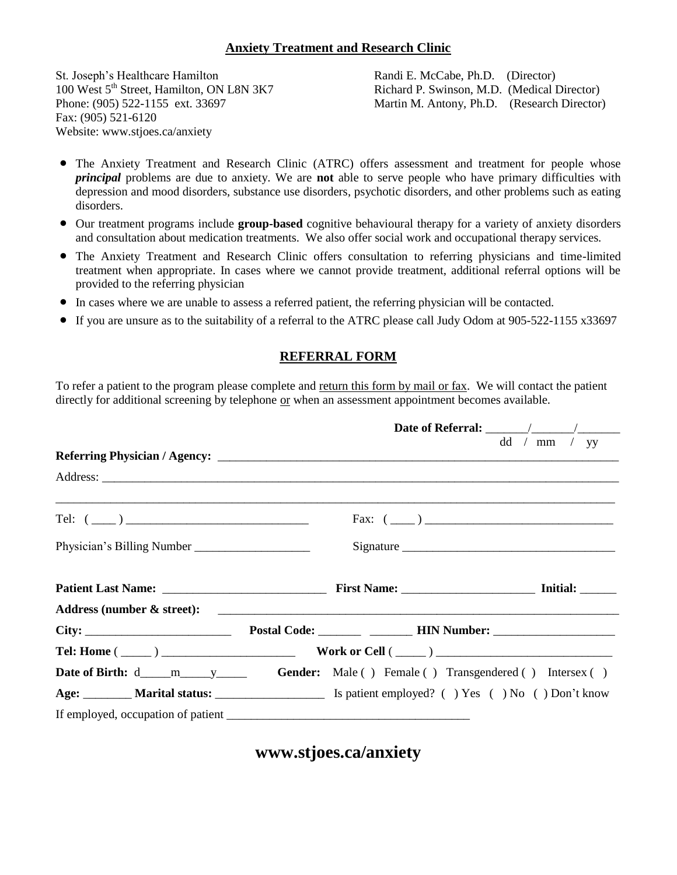## **Anxiety Treatment and Research Clinic**

St. Joseph's Healthcare Hamilton Randi E. McCabe, Ph.D. (Director) Fax: (905) 521-6120 Website: www.stjoes.ca/anxiety

100 West 5<sup>th</sup> Street, Hamilton, ON L8N 3K7 Richard P. Swinson, M.D. (Medical Director)<br>Phone: (905) 522-1155 ext. 33697 Martin M. Antony, Ph.D. (Research Director) Martin M. Antony, Ph.D. (Research Director)

- The Anxiety Treatment and Research Clinic (ATRC) offers assessment and treatment for people whose *principal* problems are due to anxiety. We are **not** able to serve people who have primary difficulties with depression and mood disorders, substance use disorders, psychotic disorders, and other problems such as eating disorders.
- Our treatment programs include **group-based** cognitive behavioural therapy for a variety of anxiety disorders and consultation about medication treatments. We also offer social work and occupational therapy services.
- The Anxiety Treatment and Research Clinic offers consultation to referring physicians and time-limited treatment when appropriate. In cases where we cannot provide treatment, additional referral options will be provided to the referring physician
- In cases where we are unable to assess a referred patient, the referring physician will be contacted.
- If you are unsure as to the suitability of a referral to the ATRC please call Judy Odom at 905-522-1155 x33697

## **REFERRAL FORM**

To refer a patient to the program please complete and return this form by mail or fax. We will contact the patient directly for additional screening by telephone or when an assessment appointment becomes available.

|                    |                       |                                                                                                          | dd / mm / yy |  |  |
|--------------------|-----------------------|----------------------------------------------------------------------------------------------------------|--------------|--|--|
|                    |                       |                                                                                                          |              |  |  |
| Tel: $(\_\_)$      |                       |                                                                                                          |              |  |  |
|                    |                       | Signature                                                                                                |              |  |  |
|                    |                       |                                                                                                          |              |  |  |
|                    |                       |                                                                                                          |              |  |  |
|                    |                       |                                                                                                          |              |  |  |
| Tel: Home $(\_\_)$ | Work or Cell $(\_\_)$ |                                                                                                          |              |  |  |
|                    |                       |                                                                                                          |              |  |  |
|                    |                       | Age: ________ Marital status: __________________________ Is patient employed? () Yes () No () Don't know |              |  |  |
|                    |                       |                                                                                                          |              |  |  |

**www.stjoes.ca/anxiety**